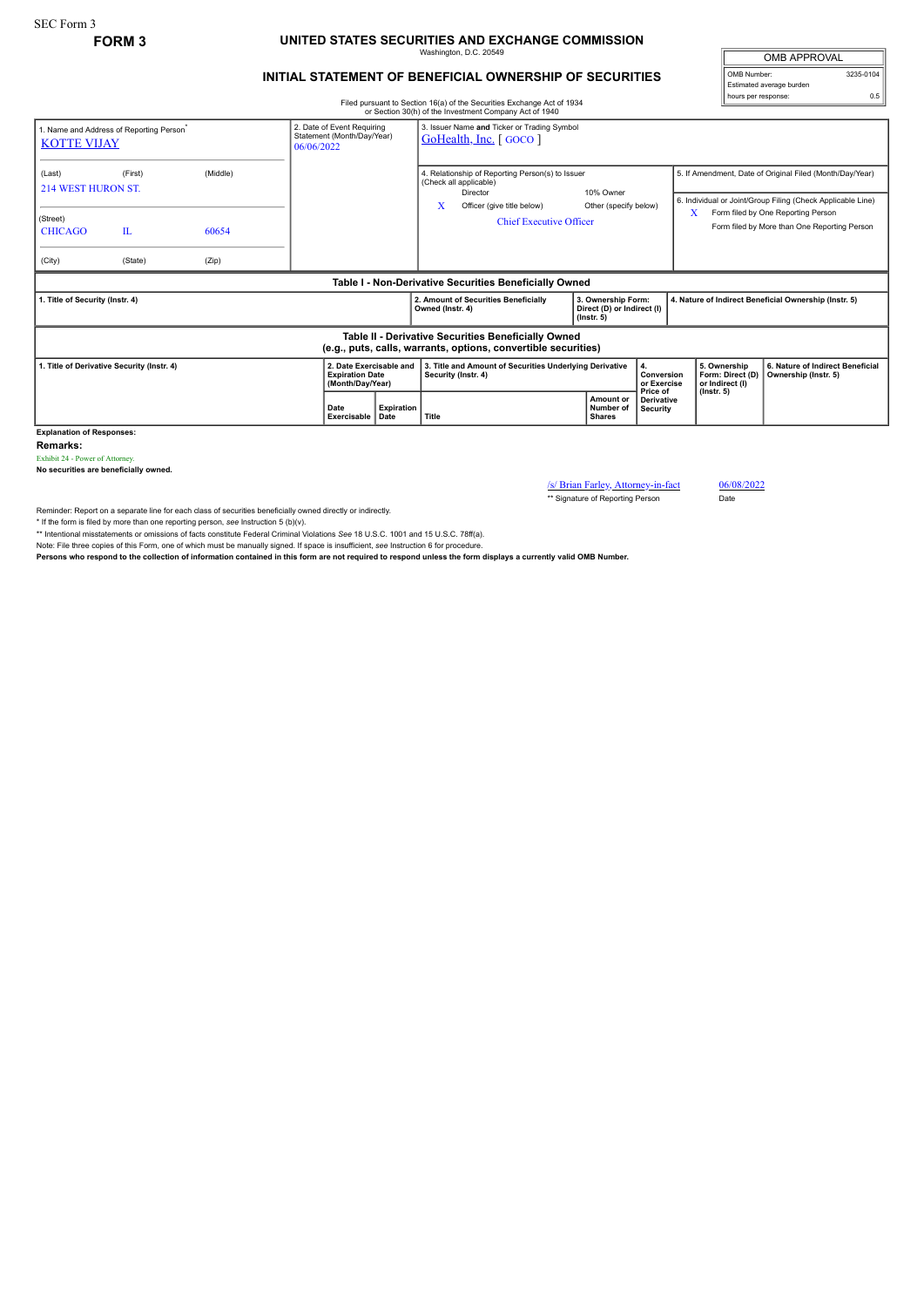## **FORM 3 UNITED STATES SECURITIES AND EXCHANGE COMMISSION** Washington, D.C. 20549

## **INITIAL STATEMENT OF BENEFICIAL OWNERSHIP OF SECURITIES**

Filed pursuant to Section 16(a) of the Securities Exchange Act of 1934 or Section 30(h) of the Investment Company Act of 1940

|                                                                            |                     |       | of Section 30(ii) of the investment Company ACt of 1940               |                                                                                                                                  |                                                                                                                       |                                                                      |                                                                                                                         |                                                                                         |                                                          |
|----------------------------------------------------------------------------|---------------------|-------|-----------------------------------------------------------------------|----------------------------------------------------------------------------------------------------------------------------------|-----------------------------------------------------------------------------------------------------------------------|----------------------------------------------------------------------|-------------------------------------------------------------------------------------------------------------------------|-----------------------------------------------------------------------------------------|----------------------------------------------------------|
| 1. Name and Address of Reporting Person <sup>*</sup><br><b>KOTTE VIJAY</b> |                     |       | 06/06/2022                                                            | 2. Date of Event Requiring<br>3. Issuer Name and Ticker or Trading Symbol<br>Statement (Month/Day/Year)<br>GoHealth, Inc. [GOCO] |                                                                                                                       |                                                                      |                                                                                                                         |                                                                                         |                                                          |
| (Last)<br><b>214 WEST HURON ST.</b>                                        | (Middle)<br>(First) |       |                                                                       | 4. Relationship of Reporting Person(s) to Issuer<br>(Check all applicable)<br>Director                                           | 10% Owner                                                                                                             |                                                                      | 5. If Amendment, Date of Original Filed (Month/Day/Year)<br>6. Individual or Joint/Group Filing (Check Applicable Line) |                                                                                         |                                                          |
| (Street)<br><b>CHICAGO</b>                                                 | $\mathbf{L}$        | 60654 |                                                                       |                                                                                                                                  | x<br>Officer (give title below)<br><b>Chief Executive Officer</b>                                                     | Other (specify below)                                                |                                                                                                                         | Form filed by One Reporting Person<br>X<br>Form filed by More than One Reporting Person |                                                          |
| (City)                                                                     | (State)             | (Zip) |                                                                       |                                                                                                                                  |                                                                                                                       |                                                                      |                                                                                                                         |                                                                                         |                                                          |
|                                                                            |                     |       |                                                                       |                                                                                                                                  | Table I - Non-Derivative Securities Beneficially Owned                                                                |                                                                      |                                                                                                                         |                                                                                         |                                                          |
| 1. Title of Security (Instr. 4)                                            |                     |       |                                                                       |                                                                                                                                  | 2. Amount of Securities Beneficially<br>Owned (Instr. 4)                                                              | 3. Ownership Form:<br>Direct (D) or Indirect (I)<br>$($ lnstr. 5 $)$ |                                                                                                                         | 4. Nature of Indirect Beneficial Ownership (Instr. 5)                                   |                                                          |
|                                                                            |                     |       |                                                                       |                                                                                                                                  | Table II - Derivative Securities Beneficially Owned<br>(e.g., puts, calls, warrants, options, convertible securities) |                                                                      |                                                                                                                         |                                                                                         |                                                          |
| 1. Title of Derivative Security (Instr. 4)                                 |                     |       | 2. Date Exercisable and<br><b>Expiration Date</b><br>(Month/Day/Year) |                                                                                                                                  | 3. Title and Amount of Securities Underlying Derivative<br>Security (Instr. 4)                                        |                                                                      | 4.<br>Conversion<br>or Exercise<br>Price of                                                                             | 5. Ownership<br>Form: Direct (D)<br>or Indirect (I)<br>$($ lnstr. 5 $)$                 | 6. Nature of Indirect Beneficial<br>Ownership (Instr. 5) |
|                                                                            |                     |       |                                                                       | Expiration                                                                                                                       |                                                                                                                       | Amount or                                                            | <b>Derivative</b>                                                                                                       |                                                                                         |                                                          |

**Explanation of Responses:**

**Remarks:**

Exhibit 24 - Power of Attorney. **No securities are beneficially owned.**

/s/ Brian Farley, Attorney-in-fact 06/08/2022<br>
\*\* Signature of Reporting Person Date

\*\* Signature of Reporting Person

Reminder: Report on a separate line for each class of securities beneficially owned directly or indirectly.

\* If the form is filed by more than one reporting person, *see* Instruction 5 (b)(v).

\*\* Intentional misstatements or omissions of facts constitute Federal Criminal Violations *See* 18 U.S.C. 1001 and 15 U.S.C. 78ff(a).

Note: File three copies of this Form, one of which must be manually signed. If space is insufficient, *see* Instruction 6 for procedure.

**Persons who respond to the collection of information contained in this form are not required to respond unless the form displays a currently valid OMB Number.**